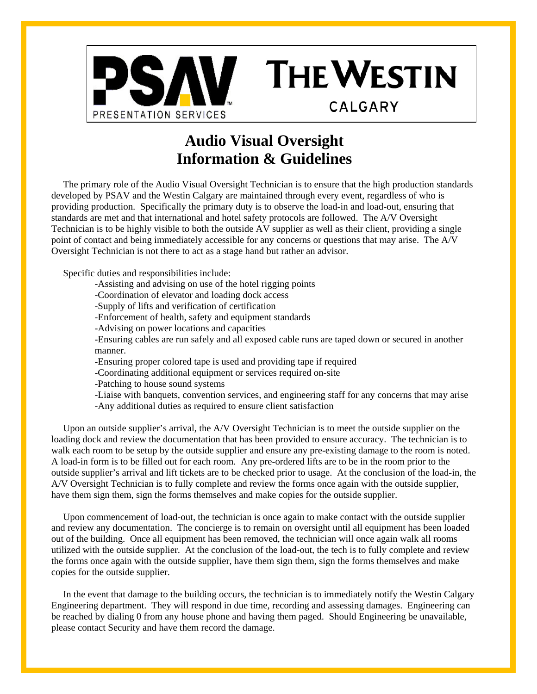

# **Audio Visual Oversight Information & Guidelines**

**THE WESTIN** 

**CALGARY** 

The primary role of the Audio Visual Oversight Technician is to ensure that the high production standards developed by PSAV and the Westin Calgary are maintained through every event, regardless of who is providing production. Specifically the primary duty is to observe the load-in and load-out, ensuring that standards are met and that international and hotel safety protocols are followed. The A/V Oversight Technician is to be highly visible to both the outside AV supplier as well as their client, providing a single point of contact and being immediately accessible for any concerns or questions that may arise. The A/V Oversight Technician is not there to act as a stage hand but rather an advisor.

Specific duties and responsibilities include:

-Assisting and advising on use of the hotel rigging points

-Coordination of elevator and loading dock access

-Supply of lifts and verification of certification

-Enforcement of health, safety and equipment standards

-Advising on power locations and capacities

-Ensuring cables are run safely and all exposed cable runs are taped down or secured in another manner.

-Ensuring proper colored tape is used and providing tape if required

-Coordinating additional equipment or services required on-site

-Patching to house sound systems

-Liaise with banquets, convention services, and engineering staff for any concerns that may arise -Any additional duties as required to ensure client satisfaction

Upon an outside supplier's arrival, the A/V Oversight Technician is to meet the outside supplier on the loading dock and review the documentation that has been provided to ensure accuracy. The technician is to walk each room to be setup by the outside supplier and ensure any pre-existing damage to the room is noted. A load-in form is to be filled out for each room. Any pre-ordered lifts are to be in the room prior to the outside supplier's arrival and lift tickets are to be checked prior to usage. At the conclusion of the load-in, the A/V Oversight Technician is to fully complete and review the forms once again with the outside supplier, have them sign them, sign the forms themselves and make copies for the outside supplier.

Upon commencement of load-out, the technician is once again to make contact with the outside supplier and review any documentation. The concierge is to remain on oversight until all equipment has been loaded out of the building. Once all equipment has been removed, the technician will once again walk all rooms utilized with the outside supplier. At the conclusion of the load-out, the tech is to fully complete and review the forms once again with the outside supplier, have them sign them, sign the forms themselves and make copies for the outside supplier.

In the event that damage to the building occurs, the technician is to immediately notify the Westin Calgary Engineering department. They will respond in due time, recording and assessing damages. Engineering can be reached by dialing 0 from any house phone and having them paged. Should Engineering be unavailable, please contact Security and have them record the damage.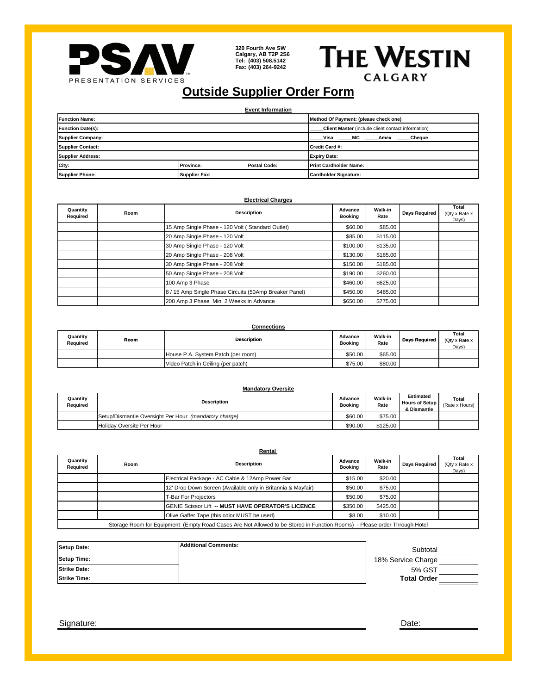

**320 Fourth Ave SW Calgary, AB T2P 2S6 Tel: (403) 508.5142 Fax: (403) 264-9242** 

**THE WESTIN** CALGARY

## **Outside Supplier Order Form**

**Event Information**

| <b>Function Name:</b>    |                      |                     | Method Of Payment: (please check one)              |  |  |  |
|--------------------------|----------------------|---------------------|----------------------------------------------------|--|--|--|
| <b>Function Date(s):</b> |                      |                     | Client Master (include client contact information) |  |  |  |
| <b>Supplier Company:</b> |                      |                     | Visa<br>______MC ______Amex _____<br>Cheque        |  |  |  |
| <b>Supplier Contact:</b> |                      |                     | Credit Card #:                                     |  |  |  |
| <b>Supplier Address:</b> |                      |                     | <b>Expiry Date:</b>                                |  |  |  |
| City:                    | <b>Province:</b>     | <b>Postal Code:</b> | <b>Print Cardholder Name:</b>                      |  |  |  |
| <b>Supplier Phone:</b>   | <b>Supplier Fax:</b> |                     | Cardholder Signature:                              |  |  |  |

### **Electrical Charges**

| Quantity<br>Required | Room | <b>Description</b>                                     | Advance<br><b>Booking</b> | Walk-in<br>Rate | <b>Days Required</b> | Total<br>(Qty x Rate x<br>Days) |
|----------------------|------|--------------------------------------------------------|---------------------------|-----------------|----------------------|---------------------------------|
|                      |      | 15 Amp Single Phase - 120 Volt (Standard Outlet)       | \$60.00                   | \$85.00         |                      |                                 |
|                      |      | 20 Amp Single Phase - 120 Volt                         | \$85.00                   | \$115.00        |                      |                                 |
|                      |      | 30 Amp Single Phase - 120 Volt                         | \$100.00                  | \$135.00        |                      |                                 |
|                      |      | 20 Amp Single Phase - 208 Volt                         | \$130.00                  | \$165.00        |                      |                                 |
|                      |      | 30 Amp Single Phase - 208 Volt                         | \$150.00                  | \$185.00        |                      |                                 |
|                      |      | 50 Amp Single Phase - 208 Volt                         | \$190.00                  | \$260.00        |                      |                                 |
|                      |      | 100 Amp 3 Phase                                        | \$460.00                  | \$625.00        |                      |                                 |
|                      |      | 8 / 15 Amp Single Phase Circuits (50Amp Breaker Panel) | \$450.00                  | \$485.00        |                      |                                 |
|                      |      | 200 Amp 3 Phase Min. 2 Weeks in Advance                | \$650.00                  | \$775.00        |                      |                                 |

## **Connections**

| Quantity<br>Reauired | Room | <b>Description</b>                 | Advance<br><b>Booking</b> | <b>Walk-in</b><br>Rate | <b>Davs Required</b> | Total<br>(Otv x Rate x<br>Days) |
|----------------------|------|------------------------------------|---------------------------|------------------------|----------------------|---------------------------------|
|                      |      | House P.A. System Patch (per room) | \$50.00                   | \$65.00                |                      |                                 |
|                      |      | Video Patch in Ceiling (per patch) | \$75.00                   | \$80.00                |                      |                                 |

| <b>Mandatory Oversite</b> |                                                       |                           |                 |                                                   |                         |  |  |
|---------------------------|-------------------------------------------------------|---------------------------|-----------------|---------------------------------------------------|-------------------------|--|--|
| Quantity<br>Reauired      | <b>Description</b>                                    | Advance<br><b>Booking</b> | Walk-in<br>Rate | <b>Estimated</b><br>Hours of Setup<br>& Dismantle | Total<br>(Rate x Hours) |  |  |
|                           | Setup/Dismantle Oversight Per Hour (mandatory charge) | \$60.00                   | \$75.00         |                                                   |                         |  |  |
|                           | Holiday Oversite Per Hour                             | \$90.00                   | \$125.00        |                                                   |                         |  |  |

| Rental                                                                                                                    |      |                                                              |                           |                        |               |                                 |
|---------------------------------------------------------------------------------------------------------------------------|------|--------------------------------------------------------------|---------------------------|------------------------|---------------|---------------------------------|
| Quantity<br>Required                                                                                                      | Room | <b>Description</b>                                           | Advance<br><b>Booking</b> | <b>Walk-in</b><br>Rate | Days Required | Total<br>(Qty x Rate x<br>Days) |
|                                                                                                                           |      | Electrical Package - AC Cable & 12Amp Power Bar              | \$15.00                   | \$20.00                |               |                                 |
|                                                                                                                           |      | 12' Drop Down Screen (Available only in Britannia & Mayfair) | \$50.00                   | \$75.00                |               |                                 |
|                                                                                                                           |      | <b>T-Bar For Projectors</b>                                  | \$50.00                   | \$75.00                |               |                                 |
|                                                                                                                           |      | GENIE Scissor Lift -- MUST HAVE OPERATOR'S LICENCE           | \$350.00                  | \$425.00               |               |                                 |
|                                                                                                                           |      | Olive Gaffer Tape (this color MUST be used)                  | \$8.00                    | \$10.00                |               |                                 |
| Storage Room for Equipment (Empty Road Cases Are Not Allowed to be Stored in Function Rooms) - Please order Through Hotel |      |                                                              |                           |                        |               |                                 |

| Setup Date:         | <b>Additional Comments:</b> | Subtotal           |  |
|---------------------|-----------------------------|--------------------|--|
| <b>Setup Time:</b>  |                             | 18% Service Charge |  |
| <b>Strike Date:</b> |                             | 5% GST             |  |
| <b>Strike Time:</b> |                             | <b>Total Order</b> |  |

Signature: Date: Date: Date: Date: Date: Date: Date: Date: Date: Date: Date: Date: Date: Date: Date: Date: Date: Date: Date: Date: Date: Date: Date: Date: Date: Date: Date: Date: Date: Date: Date: Date: Date: Date: Date: D